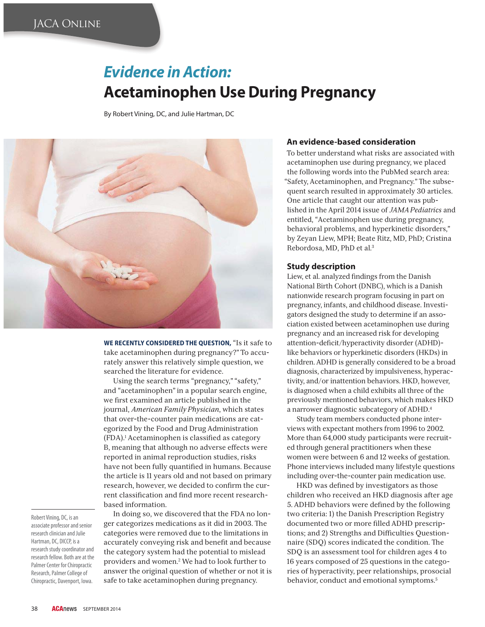# **Evidence in Action: Acetaminophen Use During Pregnancy**

By Robert Vining, DC, and Julie Hartman, DC



**WE RECENTLY CONSIDERED THE QUESTION,** "Is it safe to take acetaminophen during pregnancy?" To accurately answer this relatively simple question, we searched the literature for evidence.

Using the search terms "pregnancy," "safety," and "acetaminophen" in a popular search engine, we first examined an article published in the journal, *American Family Physician*, which states that over-the-counter pain medications are categorized by the Food and Drug Administration (FDA).<sup>1</sup> Acetaminophen is classified as category B, meaning that although no adverse effects were reported in animal reproduction studies, risks have not been fully quantified in humans. Because the article is 11 years old and not based on primary research, however, we decided to confirm the current classification and find more recent researchbased information.

Robert Vining, DC, is an associate professor and senior research clinician and Julie Hartman, DC, DICCP, is a research study coordinator and research fellow. Both are at the Palmer Center for Chiropractic Research, Palmer College of Chiropractic, Davenport, Iowa.

In doing so, we discovered that the FDA no longer categorizes medications as it did in 2003. The categories were removed due to the limitations in accurately conveying risk and benefit and because the category system had the potential to mislead providers and women.2 We had to look further to answer the original question of whether or not it is safe to take acetaminophen during pregnancy.

### **An evidence-based consideration**

To better understand what risks are associated with acetaminophen use during pregnancy, we placed the following words into the PubMed search area: "Safety, Acetaminophen, and Pregnancy." The subsequent search resulted in approximately 30 articles. One article that caught our attention was published in the April 2014 issue of *JAMA Pediatrics* and entitled, "Acetaminophen use during pregnancy, behavioral problems, and hyperkinetic disorders," by Zeyan Liew, MPH; Beate Ritz, MD, PhD; Cristina Rebordosa, MD, PhD et al.3

#### **Study description**

Liew, et al. analyzed findings from the Danish National Birth Cohort (DNBC), which is a Danish nationwide research program focusing in part on pregnancy, infants, and childhood disease. Investigators designed the study to determine if an association existed between acetaminophen use during pregnancy and an increased risk for developing attention-deficit/hyperactivity disorder (ADHD)like behaviors or hyperkinetic disorders (HKDs) in children. ADHD is generally considered to be a broad diagnosis, characterized by impulsiveness, hyperactivity, and/or inattention behaviors. HKD, however, is diagnosed when a child exhibits all three of the previously mentioned behaviors, which makes HKD a narrower diagnostic subcategory of ADHD.4

Study team members conducted phone interviews with expectant mothers from 1996 to 2002. More than 64,000 study participants were recruited through general practitioners when these women were between 6 and 12 weeks of gestation. Phone interviews included many lifestyle questions including over-the-counter pain medication use.

HKD was defined by investigators as those children who received an HKD diagnosis after age 5. ADHD behaviors were defined by the following two criteria: 1) the Danish Prescription Registry documented two or more filled ADHD prescriptions; and 2) Strengths and Difficulties Questionnaire (SDQ) scores indicated the condition. The SDQ is an assessment tool for children ages 4 to 16 years composed of 25 questions in the categories of hyperactivity, peer relationships, prosocial behavior, conduct and emotional symptoms.<sup>5</sup>